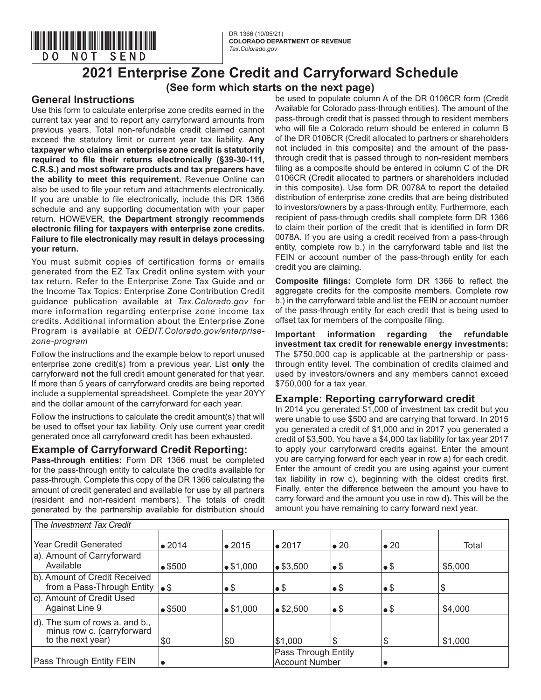

## **(See form which starts on the next page)**

## **General Instructions**

\*DO=NOT=SEND\*

Use this form to calculate enterprise zone credits earned in the current tax year and to report any carryforward amounts from previous years. Total non-refundable credit claimed cannot exceed the statutory limit or current year tax liability. **Any taxpayer who claims an enterprise zone credit is statutorily required to file their returns electronically (§39-30-111, C.R.S.) and most software products and tax preparers have the ability to meet this requirement.** Revenue Online can also be used to file your return and attachments electronically. If you are unable to file electronically, include this DR 1366 schedule and any supporting documentation with your paper return. HOWEVER, **the Department strongly recommends electronic filing for taxpayers with enterprise zone credits. Failure to file electronically may result in delays processing your return.**

You must submit copies of certification forms or emails generated from the EZ Tax Credit online system with your tax return. Refer to the Enterprise Zone Tax Guide and or the Income Tax Topics: Enterprise Zone Contribution Credit guidance publication available at *Tax.Colorado.gov* for more information regarding enterprise zone income tax credits. Additional information about the Enterprise Zone Program is available at *OEDIT.Colorado.gov/enterprisezone-program*

Follow the instructions and the example below to report unused enterprise zone credit(s) from a previous year. List **only** the carryforward **not** the full credit amount generated for that year. If more than 5 years of carryforward credits are being reported include a supplemental spreadsheet. Complete the year 20YY and the dollar amount of the carryforward for each year.

Follow the instructions to calculate the credit amount(s) that will be used to offset your tax liability. Only use current year credit generated once all carryforward credit has been exhausted.

## **Example of Carryforward Credit Reporting:**

**Pass-through entities:** Form DR 1366 must be completed for the pass-through entity to calculate the credits available for pass-through. Complete this copy of the DR 1366 calculating the amount of credit generated and available for use by all partners (resident and non-resident members). The totals of credit generated by the partnership available for distribution should

be used to populate column A of the DR 0106CR form (Credit Available for Colorado pass-through entities). The amount of the pass-through credit that is passed through to resident members who will file a Colorado return should be entered in column B of the DR 0106CR (Credit allocated to partners or shareholders not included in this composite) and the amount of the passthrough credit that is passed through to non-resident members filing as a composite should be entered in column C of the DR 0106CR (Credit allocated to partners or shareholders included in this composite). Use form DR 0078A to report the detailed distribution of enterprise zone credits that are being distributed to investors/owners by a pass-through entity. Furthermore, each recipient of pass-through credits shall complete form DR 1366 to claim their portion of the credit that is identified in form DR 0078A. If you are using a credit received from a pass-through entity, complete row b.) in the carryforward table and list the FEIN or account number of the pass-through entity for each credit you are claiming.

**Composite filings:** Complete form DR 1366 to reflect the aggregate credits for the composite members. Complete row b.) in the carryforward table and list the FEIN or account number of the pass-through entity for each credit that is being used to offset tax for members of the composite filing.

**Important information regarding the refundable investment tax credit for renewable energy investments:**  The \$750,000 cap is applicable at the partnership or passthrough entity level. The combination of credits claimed and used by investors/owners and any members cannot exceed \$750,000 for a tax year.

## **Example: Reporting carryforward credit**

In 2014 you generated \$1,000 of investment tax credit but you were unable to use \$500 and are carrying that forward. In 2015 you generated a credit of \$1,000 and in 2017 you generated a credit of \$3,500. You have a \$4,000 tax liability for tax year 2017 to apply your carryforward credits against. Enter the amount you are carrying forward for each year in row a) for each credit. Enter the amount of credit you are using against your current tax liability in row c), beginning with the oldest credits first. Finally, enter the difference between the amount you have to carry forward and the amount you use in row d). This will be the amount you have remaining to carry forward next year.

| The Investment Tax Credit                                                         |                |                |                                              |              |                 |         |
|-----------------------------------------------------------------------------------|----------------|----------------|----------------------------------------------|--------------|-----------------|---------|
| Year Credit Generated                                                             | $\bullet$ 2014 | $\bullet$ 2015 | $\bullet$ 2017                               | $\bullet$ 20 | $\bullet$ 20    | Total   |
| a). Amount of Carryforward<br>Available                                           | • \$500        | • \$1,000      | • \$3,500                                    | $\bullet$    | $\bullet$       | \$5,000 |
| b). Amount of Credit Received<br>from a Pass-Through Entity $\cdot$ \$            |                | $\bullet \$$   | $\bullet$ \$                                 | $\bullet$ \$ | $\bullet$ $\$\$ | \$      |
| c). Amount of Credit Used<br>Against Line 9                                       | • \$500        | • \$1,000      | $\bullet$ \$2,500                            | $\bullet$    | $\bullet$       | \$4,000 |
| d). The sum of rows a. and b.,<br>minus row c. (carryforward<br>to the next year) | \$0            | \$0            | S1.000                                       | S            | \$              | \$1,000 |
| Pass Through Entity FEIN                                                          | $\bullet$      |                | Pass Through Entity<br><b>Account Number</b> |              |                 |         |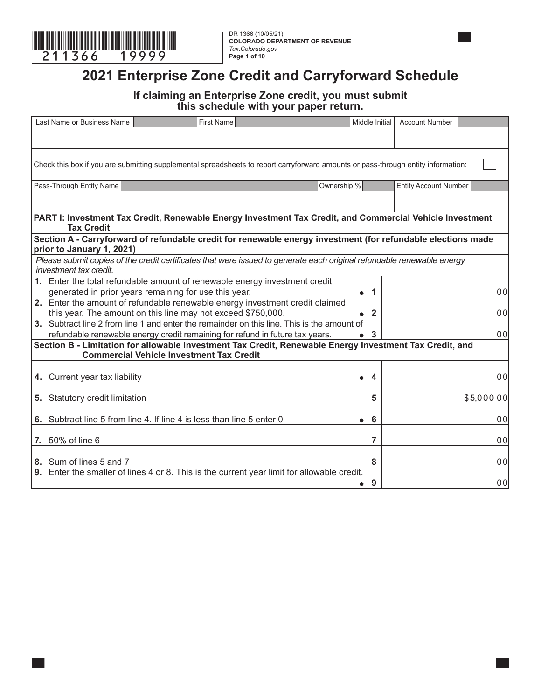

**COLORADO DEPARTMENT OF REVENUE** *Tax.Colorado.gov* **Page 1 of 10**

## **2021 Enterprise Zone Credit and Carryforward Schedule**

## **If claiming an Enterprise Zone credit, you must submit this schedule with your paper return.**

| Last Name or Business Name                                                                                                                       |                                                 | <b>First Name</b> |                                                                              |             | Middle Initial | <b>Account Number</b>        |            |       |
|--------------------------------------------------------------------------------------------------------------------------------------------------|-------------------------------------------------|-------------------|------------------------------------------------------------------------------|-------------|----------------|------------------------------|------------|-------|
|                                                                                                                                                  |                                                 |                   |                                                                              |             |                |                              |            |       |
|                                                                                                                                                  |                                                 |                   |                                                                              |             |                |                              |            |       |
| Check this box if you are submitting supplemental spreadsheets to report carryforward amounts or pass-through entity information:                |                                                 |                   |                                                                              |             |                |                              |            |       |
|                                                                                                                                                  |                                                 |                   |                                                                              |             |                |                              |            |       |
| Pass-Through Entity Name                                                                                                                         |                                                 |                   |                                                                              | Ownership % |                | <b>Entity Account Number</b> |            |       |
|                                                                                                                                                  |                                                 |                   |                                                                              |             |                |                              |            |       |
| PART I: Investment Tax Credit, Renewable Energy Investment Tax Credit, and Commercial Vehicle Investment                                         |                                                 |                   |                                                                              |             |                |                              |            |       |
| <b>Tax Credit</b>                                                                                                                                |                                                 |                   |                                                                              |             |                |                              |            |       |
| Section A - Carryforward of refundable credit for renewable energy investment (for refundable elections made                                     |                                                 |                   |                                                                              |             |                |                              |            |       |
| prior to January 1, 2021)                                                                                                                        |                                                 |                   |                                                                              |             |                |                              |            |       |
| Please submit copies of the credit certificates that were issued to generate each original refundable renewable energy<br>investment tax credit. |                                                 |                   |                                                                              |             |                |                              |            |       |
| 1. Enter the total refundable amount of renewable energy investment credit                                                                       |                                                 |                   |                                                                              |             |                |                              |            |       |
| generated in prior years remaining for use this year.                                                                                            |                                                 |                   |                                                                              |             | $\bullet$ 1    |                              |            | 00    |
| 2. Enter the amount of refundable renewable energy investment credit claimed                                                                     |                                                 |                   |                                                                              |             |                |                              |            |       |
| this year. The amount on this line may not exceed \$750,000.                                                                                     |                                                 |                   |                                                                              |             | $\mathbf{2}$   |                              |            | 00    |
| 3. Subtract line 2 from line 1 and enter the remainder on this line. This is the amount of                                                       |                                                 |                   |                                                                              |             |                |                              |            |       |
|                                                                                                                                                  |                                                 |                   | refundable renewable energy credit remaining for refund in future tax years. |             | 3              |                              |            | lo ol |
| Section B - Limitation for allowable Investment Tax Credit, Renewable Energy Investment Tax Credit, and                                          |                                                 |                   |                                                                              |             |                |                              |            |       |
|                                                                                                                                                  | <b>Commercial Vehicle Investment Tax Credit</b> |                   |                                                                              |             |                |                              |            |       |
| 4. Current year tax liability                                                                                                                    |                                                 |                   |                                                                              |             | 4<br>●         |                              |            | 00    |
|                                                                                                                                                  |                                                 |                   |                                                                              |             |                |                              |            |       |
| 5. Statutory credit limitation                                                                                                                   |                                                 |                   |                                                                              |             | 5              |                              | \$5,000 00 |       |
|                                                                                                                                                  |                                                 |                   |                                                                              |             |                |                              |            |       |
| 6. Subtract line 5 from line 4. If line 4 is less than line 5 enter 0                                                                            |                                                 |                   |                                                                              |             | 6              |                              |            | 00    |
| 7. 50% of line 6                                                                                                                                 |                                                 |                   |                                                                              |             | 7              |                              |            | 00    |
|                                                                                                                                                  |                                                 |                   |                                                                              |             |                |                              |            |       |
| 8. Sum of lines 5 and 7                                                                                                                          |                                                 |                   |                                                                              |             | 8              |                              |            | 00    |
| 9. Enter the smaller of lines 4 or 8. This is the current year limit for allowable credit.                                                       |                                                 |                   |                                                                              |             |                |                              |            |       |
|                                                                                                                                                  |                                                 |                   |                                                                              |             | 9<br>$\bullet$ |                              |            | 00    |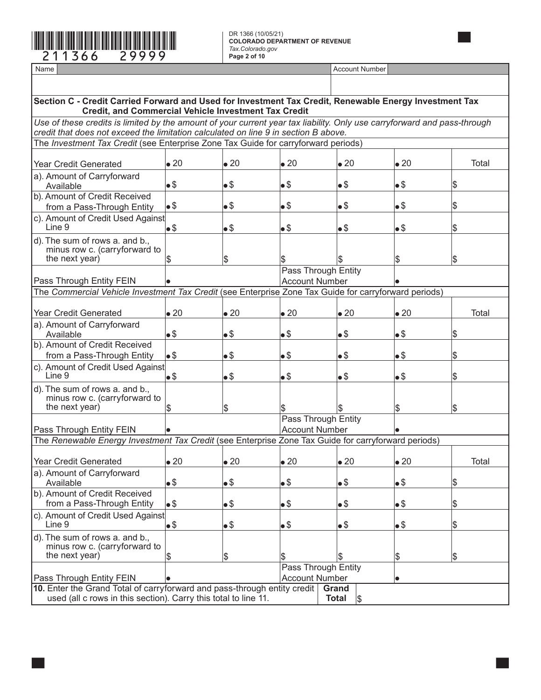

| Section C - Credit Carried Forward and Used for Investment Tax Credit, Renewable Energy Investment Tax<br><b>Credit, and Commercial Vehicle Investment Tax Credit</b>                                           |              |              |                       |                     |              |               |
|-----------------------------------------------------------------------------------------------------------------------------------------------------------------------------------------------------------------|--------------|--------------|-----------------------|---------------------|--------------|---------------|
| Use of these credits is limited by the amount of your current year tax liability. Only use carryforward and pass-through<br>credit that does not exceed the limitation calculated on line 9 in section B above. |              |              |                       |                     |              |               |
| The <i>Investment Tax Credit</i> (see Enterprise Zone Tax Guide for carryforward periods)                                                                                                                       |              |              |                       |                     |              |               |
|                                                                                                                                                                                                                 |              |              |                       |                     |              |               |
| <b>Year Credit Generated</b>                                                                                                                                                                                    | $\bullet$ 20 | $\bullet$ 20 | $\bullet$ 20          | $\bullet$ 20        | $\bullet$ 20 | Total         |
| a). Amount of Carryforward<br>Available                                                                                                                                                                         | $\bullet$ \$ | $\bullet$ \$ | •\$                   | $\bullet$           | •\$          | $\sqrt{3}$    |
| b). Amount of Credit Received                                                                                                                                                                                   |              |              |                       |                     |              |               |
| from a Pass-Through Entity                                                                                                                                                                                      | •\$          | $\bullet$ \$ | •\$                   | $\bullet$           | $\bullet$    | $\frac{1}{2}$ |
| c). Amount of Credit Used Against<br>Line 9                                                                                                                                                                     | $\bullet$ \$ | $\bullet$ \$ | •\$                   | •\$                 | $\bullet$    | \$            |
| d). The sum of rows a. and b.,                                                                                                                                                                                  |              |              |                       |                     |              |               |
| minus row c. (carryforward to                                                                                                                                                                                   |              |              |                       |                     |              |               |
| the next year)                                                                                                                                                                                                  | \$           | Ι\$          | \$                    | \$                  | Ι\$          | \$            |
|                                                                                                                                                                                                                 |              |              | Pass Through Entity   |                     |              |               |
| Pass Through Entity FEIN                                                                                                                                                                                        |              |              | <b>Account Number</b> |                     |              |               |
| The Commercial Vehicle Investment Tax Credit (see Enterprise Zone Tax Guide for carryforward periods)                                                                                                           |              |              |                       |                     |              |               |
|                                                                                                                                                                                                                 |              |              |                       |                     |              |               |
| <b>Year Credit Generated</b>                                                                                                                                                                                    | $\bullet$ 20 | $\bullet$ 20 | $\bullet$ 20          | $\bullet$ 20        | $\bullet$ 20 | Total         |
| a). Amount of Carryforward                                                                                                                                                                                      |              |              |                       |                     |              |               |
| Available                                                                                                                                                                                                       | $\bullet$ \$ | $\bullet$ \$ | •\$                   | $\bullet\$$         | •\$          | \$            |
| b). Amount of Credit Received                                                                                                                                                                                   |              |              |                       |                     |              |               |
| from a Pass-Through Entity                                                                                                                                                                                      | $\bullet$ \$ | $\bullet$ \$ | •\$                   | • \$                | •\$          | \$            |
| c). Amount of Credit Used Against                                                                                                                                                                               |              |              |                       |                     |              |               |
| Line 9                                                                                                                                                                                                          | $\bullet$ \$ | $\bullet$ \$ | •\$                   | $\bullet\$$         | $\bullet$    | \$            |
| d). The sum of rows a. and b.,                                                                                                                                                                                  |              |              |                       |                     |              |               |
| minus row c. (carryforward to                                                                                                                                                                                   |              |              |                       |                     |              |               |
| the next year)                                                                                                                                                                                                  | \$           | β            | \$                    | Ι\$                 | Ι\$          | $\sqrt{3}$    |
|                                                                                                                                                                                                                 |              |              | Pass Through Entity   |                     |              |               |
| Pass Through Entity FEIN                                                                                                                                                                                        |              |              | <b>Account Number</b> |                     |              |               |
| The Renewable Energy Investment Tax Credit (see Enterprise Zone Tax Guide for carryforward periods)                                                                                                             |              |              |                       |                     |              |               |
|                                                                                                                                                                                                                 |              |              |                       |                     |              |               |
| <b>Year Credit Generated</b>                                                                                                                                                                                    | $\bullet$ 20 | $\bullet$ 20 | $\bullet$ 20          | $\bullet$ 20        | $\bullet$ 20 | Total         |
| a). Amount of Carryforward                                                                                                                                                                                      | $\bullet$ \$ |              |                       |                     |              |               |
| Available                                                                                                                                                                                                       |              | •\$          | $\bullet$             | $\bullet$ \$        | $\bullet$    | \$            |
| b). Amount of Credit Received                                                                                                                                                                                   | •\$          |              | $\bullet$             | $\bullet$ \$        |              |               |
| from a Pass-Through Entity                                                                                                                                                                                      |              | $\bullet$    |                       |                     | $\bullet$    | \$            |
| c). Amount of Credit Used Against<br>Line 9                                                                                                                                                                     | $\bullet$    | $\bullet$    | $\bullet$             | $\bullet$           | $\bullet$    | \$            |
|                                                                                                                                                                                                                 |              |              |                       |                     |              |               |
| d). The sum of rows a. and b.,<br>minus row c. (carryforward to                                                                                                                                                 |              |              |                       |                     |              |               |
| the next year)                                                                                                                                                                                                  | Ι\$          | β            | \$                    | \$                  | \$           | \$            |
|                                                                                                                                                                                                                 |              |              | Pass Through Entity   |                     |              |               |
| Pass Through Entity FEIN                                                                                                                                                                                        |              |              | <b>Account Number</b> |                     |              |               |
| 10. Enter the Grand Total of carryforward and pass-through entity credit                                                                                                                                        |              |              |                       | Grand               |              |               |
| used (all c rows in this section). Carry this total to line 11.                                                                                                                                                 |              |              |                       | <b>Total</b><br>1\$ |              |               |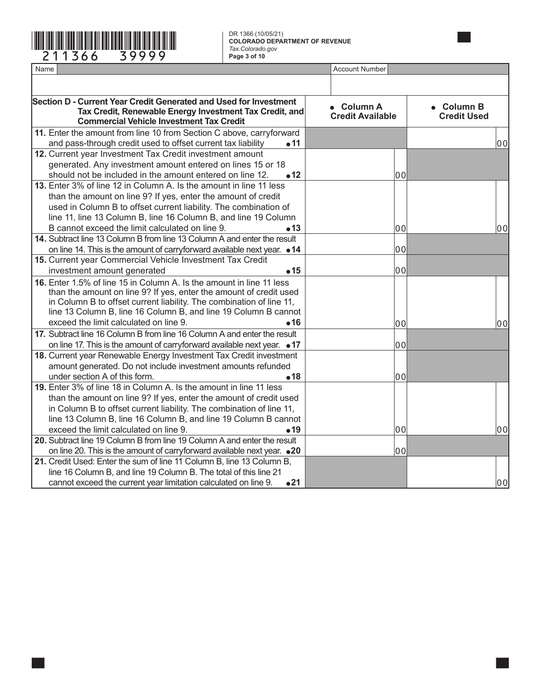# \*211366==39999\* DR 1366 (10/05/21)

**COLORADO DEPARTMENT OF REVENUE** *Tax.Colorado.gov* **Page 3 of 10**

| Section D - Current Year Credit Generated and Used for Investment<br>Tax Credit, Renewable Energy Investment Tax Credit, and<br><b>Commercial Vehicle Investment Tax Credit</b>                                                                                                                                                                                                                                                                                                                                                                                                                                                                                                                                                                                                                                                                                                                                                                                                                                                                                                                                                                                             |                                 | • Column A<br><b>Credit Available</b> | • Column B<br><b>Credit Used</b> |
|-----------------------------------------------------------------------------------------------------------------------------------------------------------------------------------------------------------------------------------------------------------------------------------------------------------------------------------------------------------------------------------------------------------------------------------------------------------------------------------------------------------------------------------------------------------------------------------------------------------------------------------------------------------------------------------------------------------------------------------------------------------------------------------------------------------------------------------------------------------------------------------------------------------------------------------------------------------------------------------------------------------------------------------------------------------------------------------------------------------------------------------------------------------------------------|---------------------------------|---------------------------------------|----------------------------------|
| 11. Enter the amount from line 10 from Section C above, carryforward                                                                                                                                                                                                                                                                                                                                                                                                                                                                                                                                                                                                                                                                                                                                                                                                                                                                                                                                                                                                                                                                                                        |                                 |                                       |                                  |
| and pass-through credit used to offset current tax liability                                                                                                                                                                                                                                                                                                                                                                                                                                                                                                                                                                                                                                                                                                                                                                                                                                                                                                                                                                                                                                                                                                                | $\bullet$ 11                    |                                       | 00                               |
| 12. Current year Investment Tax Credit investment amount                                                                                                                                                                                                                                                                                                                                                                                                                                                                                                                                                                                                                                                                                                                                                                                                                                                                                                                                                                                                                                                                                                                    |                                 |                                       |                                  |
| generated. Any investment amount entered on lines 15 or 18                                                                                                                                                                                                                                                                                                                                                                                                                                                                                                                                                                                                                                                                                                                                                                                                                                                                                                                                                                                                                                                                                                                  |                                 |                                       |                                  |
| should not be included in the amount entered on line 12.                                                                                                                                                                                                                                                                                                                                                                                                                                                                                                                                                                                                                                                                                                                                                                                                                                                                                                                                                                                                                                                                                                                    | •12                             | 00                                    |                                  |
| 13. Enter 3% of line 12 in Column A. Is the amount in line 11 less                                                                                                                                                                                                                                                                                                                                                                                                                                                                                                                                                                                                                                                                                                                                                                                                                                                                                                                                                                                                                                                                                                          |                                 |                                       |                                  |
| than the amount on line 9? If yes, enter the amount of credit                                                                                                                                                                                                                                                                                                                                                                                                                                                                                                                                                                                                                                                                                                                                                                                                                                                                                                                                                                                                                                                                                                               |                                 |                                       |                                  |
| used in Column B to offset current liability. The combination of                                                                                                                                                                                                                                                                                                                                                                                                                                                                                                                                                                                                                                                                                                                                                                                                                                                                                                                                                                                                                                                                                                            |                                 |                                       |                                  |
| line 11, line 13 Column B, line 16 Column B, and line 19 Column                                                                                                                                                                                                                                                                                                                                                                                                                                                                                                                                                                                                                                                                                                                                                                                                                                                                                                                                                                                                                                                                                                             |                                 |                                       |                                  |
| B cannot exceed the limit calculated on line 9.                                                                                                                                                                                                                                                                                                                                                                                                                                                                                                                                                                                                                                                                                                                                                                                                                                                                                                                                                                                                                                                                                                                             | •13                             | 00                                    | 00                               |
| 14. Subtract line 13 Column B from line 13 Column A and enter the result                                                                                                                                                                                                                                                                                                                                                                                                                                                                                                                                                                                                                                                                                                                                                                                                                                                                                                                                                                                                                                                                                                    |                                 |                                       |                                  |
| on line 14. This is the amount of carryforward available next year. • 14                                                                                                                                                                                                                                                                                                                                                                                                                                                                                                                                                                                                                                                                                                                                                                                                                                                                                                                                                                                                                                                                                                    |                                 | 00                                    |                                  |
|                                                                                                                                                                                                                                                                                                                                                                                                                                                                                                                                                                                                                                                                                                                                                                                                                                                                                                                                                                                                                                                                                                                                                                             |                                 |                                       |                                  |
|                                                                                                                                                                                                                                                                                                                                                                                                                                                                                                                                                                                                                                                                                                                                                                                                                                                                                                                                                                                                                                                                                                                                                                             |                                 |                                       |                                  |
| 16. Enter 1.5% of line 15 in Column A. Is the amount in line 11 less<br>than the amount on line 9? If yes, enter the amount of credit used<br>in Column B to offset current liability. The combination of line 11,<br>line 13 Column B, line 16 Column B, and line 19 Column B cannot                                                                                                                                                                                                                                                                                                                                                                                                                                                                                                                                                                                                                                                                                                                                                                                                                                                                                       |                                 |                                       |                                  |
|                                                                                                                                                                                                                                                                                                                                                                                                                                                                                                                                                                                                                                                                                                                                                                                                                                                                                                                                                                                                                                                                                                                                                                             |                                 |                                       | 00                               |
|                                                                                                                                                                                                                                                                                                                                                                                                                                                                                                                                                                                                                                                                                                                                                                                                                                                                                                                                                                                                                                                                                                                                                                             |                                 |                                       |                                  |
|                                                                                                                                                                                                                                                                                                                                                                                                                                                                                                                                                                                                                                                                                                                                                                                                                                                                                                                                                                                                                                                                                                                                                                             |                                 |                                       |                                  |
|                                                                                                                                                                                                                                                                                                                                                                                                                                                                                                                                                                                                                                                                                                                                                                                                                                                                                                                                                                                                                                                                                                                                                                             |                                 |                                       |                                  |
|                                                                                                                                                                                                                                                                                                                                                                                                                                                                                                                                                                                                                                                                                                                                                                                                                                                                                                                                                                                                                                                                                                                                                                             |                                 |                                       |                                  |
|                                                                                                                                                                                                                                                                                                                                                                                                                                                                                                                                                                                                                                                                                                                                                                                                                                                                                                                                                                                                                                                                                                                                                                             |                                 |                                       |                                  |
|                                                                                                                                                                                                                                                                                                                                                                                                                                                                                                                                                                                                                                                                                                                                                                                                                                                                                                                                                                                                                                                                                                                                                                             |                                 |                                       |                                  |
|                                                                                                                                                                                                                                                                                                                                                                                                                                                                                                                                                                                                                                                                                                                                                                                                                                                                                                                                                                                                                                                                                                                                                                             |                                 |                                       |                                  |
|                                                                                                                                                                                                                                                                                                                                                                                                                                                                                                                                                                                                                                                                                                                                                                                                                                                                                                                                                                                                                                                                                                                                                                             |                                 |                                       |                                  |
|                                                                                                                                                                                                                                                                                                                                                                                                                                                                                                                                                                                                                                                                                                                                                                                                                                                                                                                                                                                                                                                                                                                                                                             |                                 |                                       | 00                               |
|                                                                                                                                                                                                                                                                                                                                                                                                                                                                                                                                                                                                                                                                                                                                                                                                                                                                                                                                                                                                                                                                                                                                                                             |                                 |                                       |                                  |
|                                                                                                                                                                                                                                                                                                                                                                                                                                                                                                                                                                                                                                                                                                                                                                                                                                                                                                                                                                                                                                                                                                                                                                             |                                 |                                       |                                  |
|                                                                                                                                                                                                                                                                                                                                                                                                                                                                                                                                                                                                                                                                                                                                                                                                                                                                                                                                                                                                                                                                                                                                                                             |                                 |                                       |                                  |
|                                                                                                                                                                                                                                                                                                                                                                                                                                                                                                                                                                                                                                                                                                                                                                                                                                                                                                                                                                                                                                                                                                                                                                             |                                 |                                       |                                  |
|                                                                                                                                                                                                                                                                                                                                                                                                                                                                                                                                                                                                                                                                                                                                                                                                                                                                                                                                                                                                                                                                                                                                                                             |                                 |                                       | 00                               |
| 15. Current year Commercial Vehicle Investment Tax Credit<br>investment amount generated<br>exceed the limit calculated on line 9.<br>17. Subtract line 16 Column B from line 16 Column A and enter the result<br>on line 17. This is the amount of carryforward available next year. ● 17<br>18. Current year Renewable Energy Investment Tax Credit investment<br>amount generated. Do not include investment amounts refunded<br>under section A of this form.<br>19. Enter 3% of line 18 in Column A. Is the amount in line 11 less<br>than the amount on line 9? If yes, enter the amount of credit used<br>in Column B to offset current liability. The combination of line 11,<br>line 13 Column B, line 16 Column B, and line 19 Column B cannot<br>exceed the limit calculated on line 9.<br>20. Subtract line 19 Column B from line 19 Column A and enter the result<br>on line 20. This is the amount of carryforward available next year. • 20<br>21. Credit Used: Enter the sum of line 11 Column B, line 13 Column B,<br>line 16 Column B, and line 19 Column B. The total of this line 21<br>cannot exceed the current year limitation calculated on line 9. | •15<br>•16<br>•18<br>•19<br>•21 | 00<br>00<br>00<br>00<br>00<br>00      |                                  |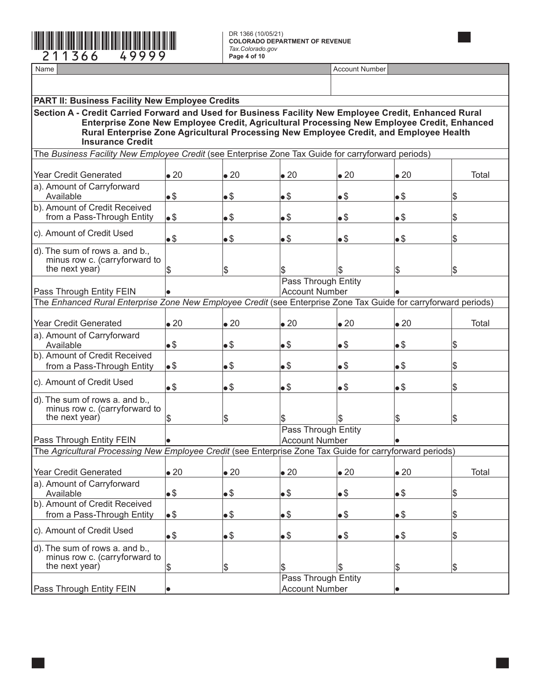

| <b>PART II: Business Facility New Employee Credits</b>                                                                                                                                                                                                                                                                   |              |              |                       |                                              |              |       |  |
|--------------------------------------------------------------------------------------------------------------------------------------------------------------------------------------------------------------------------------------------------------------------------------------------------------------------------|--------------|--------------|-----------------------|----------------------------------------------|--------------|-------|--|
| Section A - Credit Carried Forward and Used for Business Facility New Employee Credit, Enhanced Rural<br>Enterprise Zone New Employee Credit, Agricultural Processing New Employee Credit, Enhanced<br>Rural Enterprise Zone Agricultural Processing New Employee Credit, and Employee Health<br><b>Insurance Credit</b> |              |              |                       |                                              |              |       |  |
| The Business Facility New Employee Credit (see Enterprise Zone Tax Guide for carryforward periods)                                                                                                                                                                                                                       |              |              |                       |                                              |              |       |  |
|                                                                                                                                                                                                                                                                                                                          |              |              |                       |                                              |              |       |  |
| <b>Year Credit Generated</b>                                                                                                                                                                                                                                                                                             | $\bullet$ 20 | $\bullet$ 20 | $\bullet$ 20          | $\bullet$ 20                                 | $\bullet$ 20 | Total |  |
| a). Amount of Carryforward                                                                                                                                                                                                                                                                                               |              |              |                       |                                              |              |       |  |
| Available                                                                                                                                                                                                                                                                                                                | $\bullet$ \$ | $\bullet$    | $\bullet$             | $\bullet$                                    | $\bullet$ \$ | \$    |  |
| b). Amount of Credit Received                                                                                                                                                                                                                                                                                            |              |              |                       |                                              |              |       |  |
| from a Pass-Through Entity                                                                                                                                                                                                                                                                                               | •\$          | •\$          | $\bullet$             | $\bullet$                                    | $\bullet$ \$ | \$    |  |
| c). Amount of Credit Used                                                                                                                                                                                                                                                                                                | •\$          | $\bullet$ \$ | $\bullet$             | $\bullet$                                    | •\$          | \$    |  |
| d). The sum of rows a. and b.,                                                                                                                                                                                                                                                                                           |              |              |                       |                                              |              |       |  |
| minus row c. (carryforward to                                                                                                                                                                                                                                                                                            |              |              |                       |                                              |              |       |  |
| the next year)                                                                                                                                                                                                                                                                                                           | Ι\$          | β            | \$                    | l\$                                          | \$           | \$    |  |
|                                                                                                                                                                                                                                                                                                                          |              |              |                       | Pass Through Entity                          |              |       |  |
| Pass Through Entity FEIN                                                                                                                                                                                                                                                                                                 |              |              | <b>Account Number</b> |                                              |              |       |  |
| The Enhanced Rural Enterprise Zone New Employee Credit (see Enterprise Zone Tax Guide for carryforward periods)                                                                                                                                                                                                          |              |              |                       |                                              |              |       |  |
|                                                                                                                                                                                                                                                                                                                          |              |              |                       |                                              |              |       |  |
| <b>Year Credit Generated</b>                                                                                                                                                                                                                                                                                             | $\bullet$ 20 | $\bullet$ 20 | $\bullet$ 20          | $\bullet$ 20                                 | $\bullet$ 20 | Total |  |
| a). Amount of Carryforward                                                                                                                                                                                                                                                                                               |              |              |                       |                                              |              |       |  |
| Available                                                                                                                                                                                                                                                                                                                | $\bullet$ \$ | $\bullet$ \$ | $\bullet$ \$          | $\bullet$                                    | $\bullet$    | \$    |  |
| b). Amount of Credit Received                                                                                                                                                                                                                                                                                            |              |              |                       |                                              |              |       |  |
| from a Pass-Through Entity                                                                                                                                                                                                                                                                                               | •\$          | $\bullet$ \$ | $\bullet$ \$          | $\bullet$                                    | $\bullet$    | \$    |  |
| c). Amount of Credit Used                                                                                                                                                                                                                                                                                                |              |              |                       |                                              |              |       |  |
|                                                                                                                                                                                                                                                                                                                          | $\bullet$ \$ | $\bullet$ \$ | $\bullet$             | $\bullet$                                    | •\$          | \$    |  |
| d). The sum of rows a. and b.,                                                                                                                                                                                                                                                                                           |              |              |                       |                                              |              |       |  |
| minus row c. (carryforward to                                                                                                                                                                                                                                                                                            |              |              |                       |                                              |              |       |  |
| the next year)                                                                                                                                                                                                                                                                                                           | Ι\$          | Ι\$          | \$                    | l\$                                          | \$           | \$    |  |
|                                                                                                                                                                                                                                                                                                                          |              |              |                       | Pass Through Entity<br><b>Account Number</b> |              |       |  |
| Pass Through Entity FEIN<br>The Agricultural Processing New Employee Credit (see Enterprise Zone Tax Guide for carryforward periods)                                                                                                                                                                                     |              |              |                       |                                              |              |       |  |
|                                                                                                                                                                                                                                                                                                                          |              |              |                       |                                              |              |       |  |
| <b>Year Credit Generated</b>                                                                                                                                                                                                                                                                                             | $\bullet$ 20 | $\bullet$ 20 | $\bullet$ 20          | $\bullet$ 20                                 | $\bullet$ 20 | Total |  |
| a). Amount of Carryforward                                                                                                                                                                                                                                                                                               |              |              |                       |                                              |              |       |  |
| Available                                                                                                                                                                                                                                                                                                                | •\$          | $\bullet$ \$ | $\bullet$             | $\bullet$                                    | •\$          | \$    |  |
| b). Amount of Credit Received                                                                                                                                                                                                                                                                                            |              |              |                       |                                              |              |       |  |
| from a Pass-Through Entity                                                                                                                                                                                                                                                                                               | $\bullet$    | $\bullet$ \$ | $\bullet$             | $\bullet$                                    | $\bullet$    | \$    |  |
|                                                                                                                                                                                                                                                                                                                          |              |              |                       |                                              |              |       |  |
| c). Amount of Credit Used                                                                                                                                                                                                                                                                                                | $\bullet$ \$ | $\bullet$    | $\bullet$             | $\bullet$                                    | $\bullet$    | \$    |  |
| d). The sum of rows a. and b.,                                                                                                                                                                                                                                                                                           |              |              |                       |                                              |              |       |  |
| minus row c. (carryforward to                                                                                                                                                                                                                                                                                            |              |              |                       |                                              |              |       |  |
| the next year)                                                                                                                                                                                                                                                                                                           | \$           | \$           |                       | \$                                           | \$           | \$    |  |
|                                                                                                                                                                                                                                                                                                                          |              |              |                       | Pass Through Entity                          |              |       |  |
| Pass Through Entity FEIN                                                                                                                                                                                                                                                                                                 | lo           |              | <b>Account Number</b> |                                              |              |       |  |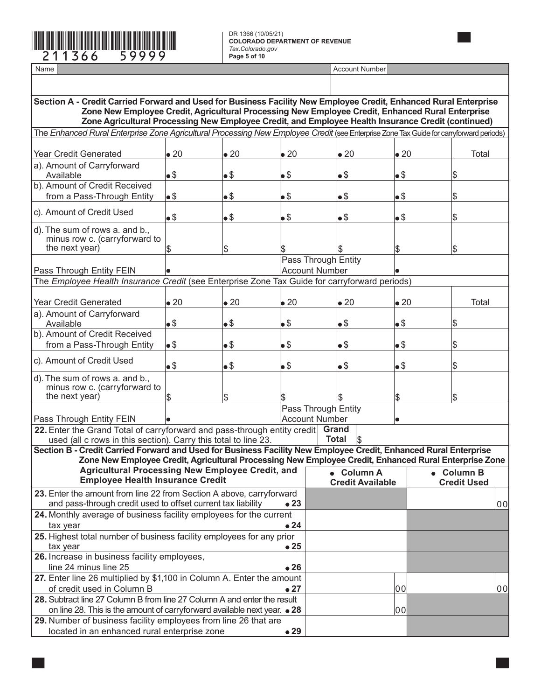

located in an enhanced rural enterprise zone

**COLORADO DEPARTMENT OF REVENUE** *Tax.Colorado.gov* **Page 5 of 10**

| Section A - Credit Carried Forward and Used for Business Facility New Employee Credit, Enhanced Rural Enterprise<br>Zone New Employee Credit, Agricultural Processing New Employee Credit, Enhanced Rural Enterprise<br>Zone Agricultural Processing New Employee Credit, and Employee Health Insurance Credit (continued) |              |              |              |                       |                         |              |                    |    |
|----------------------------------------------------------------------------------------------------------------------------------------------------------------------------------------------------------------------------------------------------------------------------------------------------------------------------|--------------|--------------|--------------|-----------------------|-------------------------|--------------|--------------------|----|
| The Enhanced Rural Enterprise Zone Agricultural Processing New Employee Credit (see Enterprise Zone Tax Guide for carryforward periods)                                                                                                                                                                                    |              |              |              |                       |                         |              |                    |    |
|                                                                                                                                                                                                                                                                                                                            |              |              |              |                       |                         |              |                    |    |
| <b>Year Credit Generated</b>                                                                                                                                                                                                                                                                                               | $\bullet$ 20 | $\bullet$ 20 | $\bullet$ 20 |                       | $\bullet$ 20            | $\bullet$ 20 | Total              |    |
| a). Amount of Carryforward                                                                                                                                                                                                                                                                                                 |              |              |              |                       |                         |              |                    |    |
| Available                                                                                                                                                                                                                                                                                                                  | $\bullet$    | •\$          | •\$          |                       | •\$                     | $\bullet$    | \$                 |    |
| b). Amount of Credit Received                                                                                                                                                                                                                                                                                              |              |              |              |                       |                         |              |                    |    |
| from a Pass-Through Entity                                                                                                                                                                                                                                                                                                 | •\$          | •\$          | •\$          |                       | •\$                     | $\bullet$    | \$                 |    |
| c). Amount of Credit Used                                                                                                                                                                                                                                                                                                  | $\bullet$ \$ | •\$          | •\$          |                       | •\$                     | $\bullet$    | \$                 |    |
| d). The sum of rows a. and b.,                                                                                                                                                                                                                                                                                             |              |              |              |                       |                         |              |                    |    |
| minus row c. (carryforward to                                                                                                                                                                                                                                                                                              |              |              |              |                       |                         |              |                    |    |
| the next year)                                                                                                                                                                                                                                                                                                             | Ι\$          | \$           |              |                       |                         | \$           | \$                 |    |
|                                                                                                                                                                                                                                                                                                                            |              |              |              | Pass Through Entity   |                         |              |                    |    |
| Pass Through Entity FEIN                                                                                                                                                                                                                                                                                                   |              |              |              | <b>Account Number</b> |                         |              |                    |    |
| The Employee Health Insurance Credit (see Enterprise Zone Tax Guide for carryforward periods)                                                                                                                                                                                                                              |              |              |              |                       |                         |              |                    |    |
| <b>Year Credit Generated</b>                                                                                                                                                                                                                                                                                               | $\bullet$ 20 | $\bullet$ 20 | $\bullet$ 20 |                       | $\bullet$ 20            | $\bullet$ 20 | Total              |    |
| a). Amount of Carryforward                                                                                                                                                                                                                                                                                                 |              |              |              |                       |                         |              |                    |    |
| Available                                                                                                                                                                                                                                                                                                                  | $\bullet$    | •\$          | •\$          |                       | $\bullet$               | $\bullet$ \$ | \$                 |    |
| b). Amount of Credit Received                                                                                                                                                                                                                                                                                              |              |              |              |                       |                         |              |                    |    |
| from a Pass-Through Entity                                                                                                                                                                                                                                                                                                 | $\bullet$ \$ | •\$          | •\$          |                       | $\bullet$               | $\bullet$ \$ | \$                 |    |
| c). Amount of Credit Used                                                                                                                                                                                                                                                                                                  | $\bullet$ \$ | •\$          | $\bullet$    |                       | $\bullet$               | $\bullet$ \$ | \$                 |    |
| d). The sum of rows a. and b.,                                                                                                                                                                                                                                                                                             |              |              |              |                       |                         |              |                    |    |
| minus row c. (carryforward to                                                                                                                                                                                                                                                                                              |              |              |              |                       |                         |              |                    |    |
| the next year)                                                                                                                                                                                                                                                                                                             | \$           | \$           |              |                       |                         | \$           | \$                 |    |
|                                                                                                                                                                                                                                                                                                                            |              |              |              | Pass Through Entity   |                         |              |                    |    |
| Pass Through Entity FEIN                                                                                                                                                                                                                                                                                                   |              |              |              | <b>Account Number</b> |                         |              |                    |    |
| 22. Enter the Grand Total of carryforward and pass-through entity credit                                                                                                                                                                                                                                                   |              |              |              | Grand                 |                         |              |                    |    |
| used (all c rows in this section). Carry this total to line 23.                                                                                                                                                                                                                                                            |              |              |              | <b>Total</b>          |                         |              |                    |    |
| Section B - Credit Carried Forward and Used for Business Facility New Employee Credit, Enhanced Rural Enterprise                                                                                                                                                                                                           |              |              |              |                       |                         |              |                    |    |
| Zone New Employee Credit, Agricultural Processing New Employee Credit, Enhanced Rural Enterprise Zone<br><b>Agricultural Processing New Employee Credit, and</b>                                                                                                                                                           |              |              |              |                       |                         |              |                    |    |
| <b>Employee Health Insurance Credit</b>                                                                                                                                                                                                                                                                                    |              |              |              |                       | • Column A              |              | • Column B         |    |
|                                                                                                                                                                                                                                                                                                                            |              |              |              |                       | <b>Credit Available</b> |              | <b>Credit Used</b> |    |
| 23. Enter the amount from line 22 from Section A above, carryforward<br>and pass-through credit used to offset current tax liability                                                                                                                                                                                       |              |              | •23          |                       |                         |              |                    |    |
| 24. Monthly average of business facility employees for the current                                                                                                                                                                                                                                                         |              |              |              |                       |                         |              |                    | 00 |
| tax year                                                                                                                                                                                                                                                                                                                   |              |              | $\bullet$ 24 |                       |                         |              |                    |    |
| 25. Highest total number of business facility employees for any prior                                                                                                                                                                                                                                                      |              |              |              |                       |                         |              |                    |    |
| tax year                                                                                                                                                                                                                                                                                                                   |              |              | $\bullet$ 25 |                       |                         |              |                    |    |
| 26. Increase in business facility employees,                                                                                                                                                                                                                                                                               |              |              |              |                       |                         |              |                    |    |
| line 24 minus line 25                                                                                                                                                                                                                                                                                                      |              |              | •26          |                       |                         |              |                    |    |
| 27. Enter line 26 multiplied by \$1,100 in Column A. Enter the amount                                                                                                                                                                                                                                                      |              |              |              |                       |                         |              |                    |    |
| of credit used in Column B                                                                                                                                                                                                                                                                                                 |              |              | $\bullet$ 27 |                       |                         | 00           |                    | 00 |
| 28. Subtract line 27 Column B from line 27 Column A and enter the result                                                                                                                                                                                                                                                   |              |              |              |                       |                         |              |                    |    |
| on line 28. This is the amount of carryforward available next year. • 28                                                                                                                                                                                                                                                   |              |              |              |                       |                         | 00           |                    |    |
| 29. Number of business facility employees from line 26 that are                                                                                                                                                                                                                                                            |              |              |              |                       |                         |              |                    |    |
| located in an enhanced rural enterprise zone                                                                                                                                                                                                                                                                               |              |              | •29          |                       |                         |              |                    |    |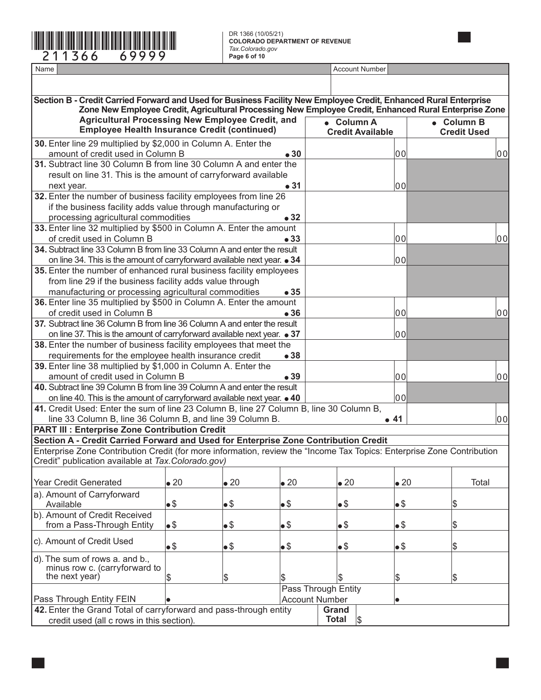

**COLORADO DEPARTMENT OF REVENUE** *Tax.Colorado.gov* **Page 6 of 10**

Name Account Number

**Section B - Credit Carried Forward and Used for Business Facility New Employee Credit, Enhanced Rural Enterprise Zone New Employee Credit, Agricultural Processing New Employee Credit, Enhanced Rural Enterprise Zone Agricultural Processing New Employee Credit, and Example 1** Agricultural Processing New Employee Credit, and **Column A**<br>**Employee Health Insurance Credit (continued)** Credit Availa  **Credit Available Column B Credit Used 30.** Enter line 29 multiplied by \$2,000 in Column A. Enter the amount of credit used in Column B **30** 00 00 **31.** Subtract line 30 Column B from line 30 Column A and enter the result on line 31. This is the amount of carryforward available next year. **31** 00 **32.** Enter the number of business facility employees from line 26 if the business facility adds value through manufacturing or processing agricultural commodities **32 33.** Enter line 32 multiplied by \$500 in Column A. Enter the amount of credit used in Column B **33** 00 00 **34.** Subtract line 33 Column B from line 33 Column A and enter the result on line 34. This is the amount of carryforward available next year. **34** 00 **35.** Enter the number of enhanced rural business facility employees from line 29 if the business facility adds value through manufacturing or processing agricultural commodities **35 36.** Enter line 35 multiplied by \$500 in Column A. Enter the amount of credit used in Column B **36** 00 00 **37.** Subtract line 36 Column B from line 36 Column A and enter the result on line 37. This is the amount of carryforward available next year.  $\bullet$  37  $\vert$  00 **38.** Enter the number of business facility employees that meet the requirements for the employee health insurance credit **38 39.** Enter line 38 multiplied by \$1,000 in Column A. Enter the amount of credit used in Column B **39 00 39 00 100 100 100 40.** Subtract line 39 Column B from line 39 Column A and enter the result on line 40. This is the amount of carryforward available next year. **40** 00 **41.** Credit Used: Enter the sum of line 23 Column B, line 27 Column B, line 30 Column B,  $\blacksquare$ line 33 Column B, line 36 Column B, and line 39 Column B.  $\blacksquare$  **41**  $\blacksquare$  **6.41**  $\blacksquare$  **6.41**  $\blacksquare$  **1.4**  $\blacksquare$ **PART III : Enterprise Zone Contribution Credit Section A - Credit Carried Forward and Used for Enterprise Zone Contribution Credit** Enterprise Zone Contribution Credit (for more information, review the "Income Tax Topics: Enterprise Zone Contribution Credit" publication available at *Tax.Colorado.gov)* Year Credit Generated  $\bullet$  20  $\bullet$  20  $\bullet$  20  $\bullet$  20  $\bullet$  20  $\bullet$  70tal a). Amount of Carryforward Available  $\begin{array}{|c|c|c|c|c|c|}\hline \text{{\large $\bullet$}}\, & \text{{\large $\bullet$}}\, & \text{{\large $\bullet$}}\, & \text{{\large $\bullet$}}\, & \text{{\large $\bullet$}}\, & \text{{\large $\bullet$}}\, & \text{{\large $\bullet$}}\, & \text{{\large $\bullet$}}\, & \text{{\large $\bullet$}}\, & \text{{\large $\bullet$}}\, & \text{{\large $\bullet$}}\, & \text{{\large $\bullet$}}\, & \text{{\large $\bullet$}}\, & \text{{\large $\bullet$}}\, & \text{{\large $\bullet$}}\, & \text{{\large $\bullet$}}$ b). Amount of Credit Received from a Pass-Through Entity  $\begin{array}{ccc} \bullet \ \mathbb{S} & \bullet \ \mathbb{S} & \bullet \ \mathbb{S} & \bullet \ \mathbb{S} & \bullet \ \mathbb{S} & \bullet \end{array}$ c). Amount of Credit Used \$ \$ \$ \$ \$ \$ d). The sum of rows a. and b., minus row c. (carryforward to the next year)  $\begin{array}{ccc} \text{S} & \text{S} & \text{S} & \text{S} & \text{S} \end{array}$ Pass Through Entity Pass Through Entity FEIN **Account Number** Account Number **42.** Enter the Grand Total of carryforward and pass-through entity credit used (all c rows in this section). **Grand Total**  $\vert$ <sub>\$</sub>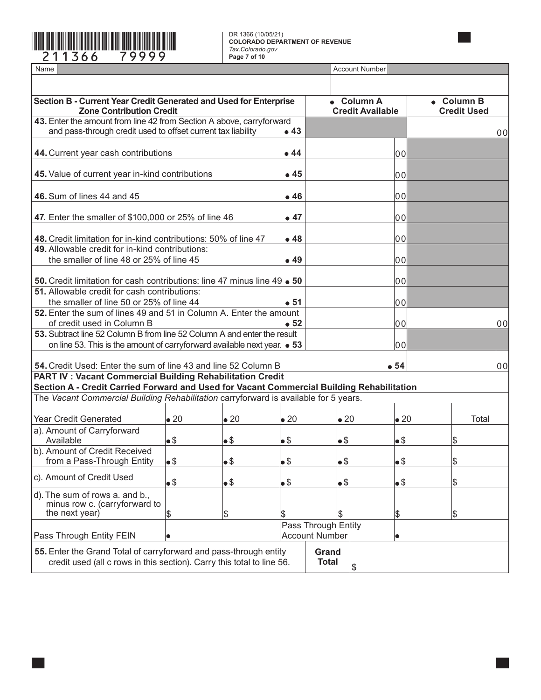#### \*211366==79999\* DR 1366 (10/05/21) **COLORADO DEPARTMENT OF REVENUE** *Tax.Colorado.gov* **Page 7 of 10**

| Name                                                                                                                                        |                                       |              | <b>Account Number</b>            |                                              |              |       |  |
|---------------------------------------------------------------------------------------------------------------------------------------------|---------------------------------------|--------------|----------------------------------|----------------------------------------------|--------------|-------|--|
|                                                                                                                                             |                                       |              |                                  |                                              |              |       |  |
| Section B - Current Year Credit Generated and Used for Enterprise<br><b>Zone Contribution Credit</b>                                        | • Column A<br><b>Credit Available</b> |              | • Column B<br><b>Credit Used</b> |                                              |              |       |  |
| 43. Enter the amount from line 42 from Section A above, carryforward                                                                        |                                       |              |                                  |                                              |              |       |  |
| and pass-through credit used to offset current tax liability                                                                                |                                       |              | •43                              |                                              |              | 00    |  |
| 44. Current year cash contributions                                                                                                         |                                       |              | $\bullet$ 44                     |                                              | 00           |       |  |
| 45. Value of current year in-kind contributions                                                                                             |                                       |              | •45                              |                                              | 00           |       |  |
| 46. Sum of lines 44 and 45                                                                                                                  |                                       |              | $\bullet$ 46                     |                                              | 00           |       |  |
| 47. Enter the smaller of \$100,000 or 25% of line 46                                                                                        |                                       |              | •47                              |                                              | 00           |       |  |
| 48. Credit limitation for in-kind contributions: 50% of line 47                                                                             |                                       |              | •48                              |                                              | 00           |       |  |
| 49. Allowable credit for in-kind contributions:<br>the smaller of line 48 or 25% of line 45                                                 |                                       |              | •49                              |                                              | 00           |       |  |
| 50. Credit limitation for cash contributions: line 47 minus line 49 . 50                                                                    |                                       |              |                                  |                                              | 00           |       |  |
| 51. Allowable credit for cash contributions:<br>the smaller of line 50 or 25% of line 44                                                    |                                       |              | $\bullet$ 51                     |                                              | 00           |       |  |
| 52. Enter the sum of lines 49 and 51 in Column A. Enter the amount                                                                          |                                       |              |                                  |                                              |              |       |  |
| of credit used in Column B                                                                                                                  |                                       |              | •52                              |                                              | 00           | 00    |  |
| 53. Subtract line 52 Column B from line 52 Column A and enter the result                                                                    |                                       |              |                                  |                                              |              |       |  |
| on line 53. This is the amount of carryforward available next year. • 53                                                                    |                                       |              |                                  |                                              | 00           |       |  |
| 54. Credit Used: Enter the sum of line 43 and line 52 Column B                                                                              |                                       |              |                                  |                                              | • 54         | 00    |  |
| <b>PART IV: Vacant Commercial Building Rehabilitation Credit</b>                                                                            |                                       |              |                                  |                                              |              |       |  |
| Section A - Credit Carried Forward and Used for Vacant Commercial Building Rehabilitation                                                   |                                       |              |                                  |                                              |              |       |  |
| The Vacant Commercial Building Rehabilitation carryforward is available for 5 years.                                                        |                                       |              |                                  |                                              |              |       |  |
| <b>Year Credit Generated</b>                                                                                                                | $\bullet$ 20                          | $\bullet$ 20 | $\bullet$ 20                     | $\bullet$ 20                                 | $\bullet$ 20 | Total |  |
| a). Amount of Carryforward<br>Available                                                                                                     | $\bullet$ \$                          | •\$          | $\bullet$ \$                     | $\bullet$                                    | •\$          | Ι\$   |  |
| b). Amount of Credit Received<br>from a Pass-Through Entity                                                                                 | $\bullet$ \$                          | $\bullet$ \$ | $\bullet$ S                      | $\bullet$ S                                  | $\bullet$ \$ | l\$   |  |
| c). Amount of Credit Used                                                                                                                   | •\$                                   | $\bullet$ \$ | $\bullet$                        | $\bullet$                                    | $\bullet$ \$ | Ι\$   |  |
| d). The sum of rows a. and b.,<br>minus row c. (carryforward to<br>the next year)                                                           | \$                                    | β            | \$                               | Ι\$                                          | \$           | Ι\$   |  |
| Pass Through Entity FEIN                                                                                                                    |                                       |              |                                  | Pass Through Entity<br><b>Account Number</b> |              |       |  |
| 55. Enter the Grand Total of carryforward and pass-through entity<br>credit used (all c rows in this section). Carry this total to line 56. |                                       |              |                                  | Grand<br><b>Total</b><br>\$                  |              |       |  |

┓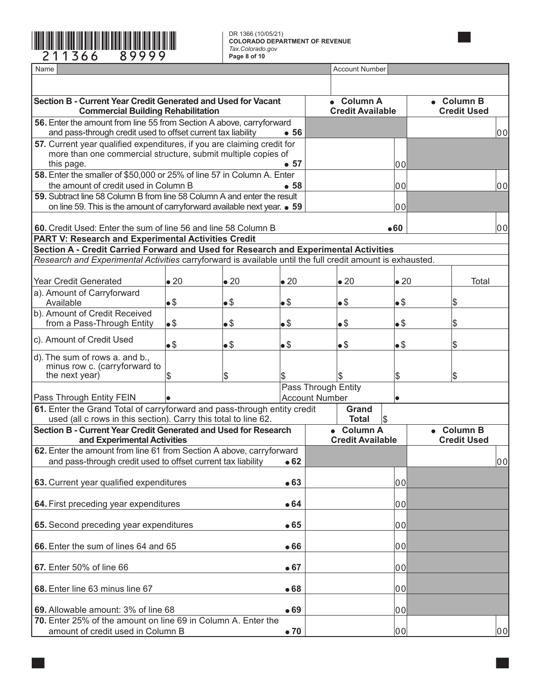

**COLORADO DEPARTMENT OF REVENUE** *Tax.Colorado.gov* **Page 8 of 10**

×

| Name                                                                                                                                        |              |              | <b>Account Number</b> |                                       |              |                                  |  |
|---------------------------------------------------------------------------------------------------------------------------------------------|--------------|--------------|-----------------------|---------------------------------------|--------------|----------------------------------|--|
|                                                                                                                                             |              |              |                       |                                       |              |                                  |  |
| Section B - Current Year Credit Generated and Used for Vacant<br><b>Commercial Building Rehabilitation</b>                                  |              |              |                       | • Column A<br><b>Credit Available</b> |              | • Column B<br><b>Credit Used</b> |  |
| 56. Enter the amount from line 55 from Section A above, carryforward<br>and pass-through credit used to offset current tax liability        |              |              |                       | 00                                    |              |                                  |  |
| 57. Current year qualified expenditures, if you are claiming credit for<br>more than one commercial structure, submit multiple copies of    |              |              |                       |                                       |              |                                  |  |
| this page.<br>58. Enter the smaller of \$50,000 or 25% of line 57 in Column A. Enter                                                        |              |              | • 57                  |                                       | 00           |                                  |  |
| the amount of credit used in Column B                                                                                                       |              |              | •58                   |                                       | 00           | l00l                             |  |
| 59. Subtract line 58 Column B from line 58 Column A and enter the result                                                                    |              |              |                       |                                       |              |                                  |  |
| on line 59. This is the amount of carryforward available next year. • 59                                                                    |              |              |                       |                                       | 00           |                                  |  |
| 60. Credit Used: Enter the sum of line 56 and line 58 Column B<br><b>PART V: Research and Experimental Activities Credit</b>                |              |              |                       |                                       | •60          | 00                               |  |
| Section A - Credit Carried Forward and Used for Research and Experimental Activities                                                        |              |              |                       |                                       |              |                                  |  |
| Research and Experimental Activities carryforward is available until the full credit amount is exhausted.                                   |              |              |                       |                                       |              |                                  |  |
| <b>Year Credit Generated</b>                                                                                                                | $\bullet$ 20 | $\bullet$ 20 | $\bullet$ 20          | $\bullet$ 20                          | $\bullet$ 20 | Total                            |  |
| a). Amount of Carryforward<br>Available                                                                                                     | $\bullet$ \$ | •\$          | •\$                   | $\bullet$                             | •\$          | \$                               |  |
| b). Amount of Credit Received                                                                                                               |              |              |                       |                                       |              |                                  |  |
| from a Pass-Through Entity                                                                                                                  | $\bullet$ \$ | •\$          | •\$                   | $\bullet$                             | •\$          | \$                               |  |
| c). Amount of Credit Used                                                                                                                   | •\$          | $\bullet$ \$ | •\$                   | $\bullet$ \$                          | •\$          | \$                               |  |
| d). The sum of rows a. and b.,<br>minus row c. (carryforward to                                                                             |              |              |                       |                                       |              |                                  |  |
| the next year)                                                                                                                              | \$           | \$           | \$                    |                                       | \$           | \$                               |  |
|                                                                                                                                             |              |              |                       | Pass Through Entity                   |              |                                  |  |
| Pass Through Entity FEIN                                                                                                                    |              |              |                       | <b>Account Number</b>                 |              |                                  |  |
| 61. Enter the Grand Total of carryforward and pass-through entity credit<br>used (all c rows in this section). Carry this total to line 62. |              |              |                       | Grand<br><b>Total</b>                 | ß.           |                                  |  |
| Section B - Current Year Credit Generated and Used for Research                                                                             |              |              |                       | • Column A                            |              | • Column B                       |  |
| and Experimental Activities<br>62. Enter the amount from line 61 from Section A above, carryforward                                         |              |              |                       | <b>Credit Available</b>               |              | <b>Credit Used</b>               |  |
| and pass-through credit used to offset current tax liability                                                                                |              |              | $\bullet$ 62          |                                       |              | lool                             |  |
| 63. Current year qualified expenditures                                                                                                     |              |              | • 63                  |                                       | 00           |                                  |  |
| 64. First preceding year expenditures                                                                                                       |              |              | •64                   |                                       | 00           |                                  |  |
| 65. Second preceding year expenditures                                                                                                      |              |              | • 65                  |                                       | 00           |                                  |  |
| 66. Enter the sum of lines 64 and 65                                                                                                        |              |              | •66                   |                                       | 00           |                                  |  |
| 67. Enter 50% of line 66                                                                                                                    |              |              | • 67                  |                                       | 00           |                                  |  |
| 68. Enter line 63 minus line 67                                                                                                             |              |              | •68                   |                                       | 00           |                                  |  |
| 69. Allowable amount: 3% of line 68                                                                                                         |              |              | • 69                  |                                       | 00           |                                  |  |
| 70. Enter 25% of the amount on line 69 in Column A. Enter the                                                                               |              |              |                       |                                       |              |                                  |  |
| amount of credit used in Column B                                                                                                           |              |              | $\bullet$ 70          |                                       | 00           | 00                               |  |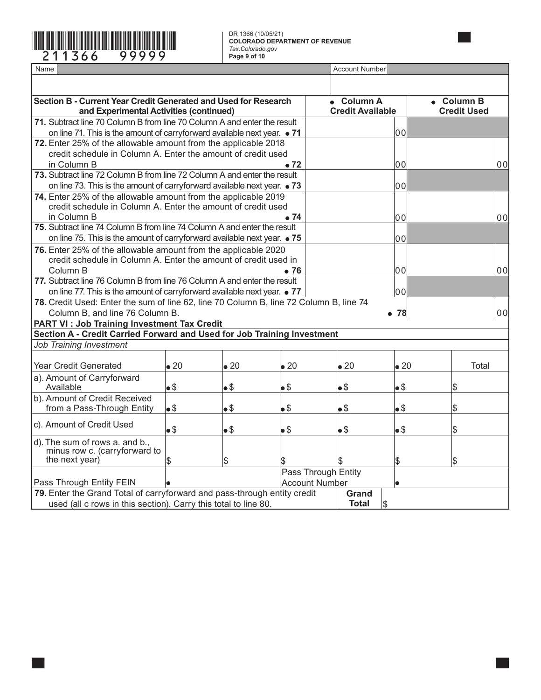# \*211366==99999\* DR 1366 (10/05/21)

**COLORADO DEPARTMENT OF REVENUE** *Tax.Colorado.gov* **Page 9 of 10**

٦

| Name                                                                                                       |               | <b>Account Number</b>    |                                       |                       |                                  |              |
|------------------------------------------------------------------------------------------------------------|---------------|--------------------------|---------------------------------------|-----------------------|----------------------------------|--------------|
|                                                                                                            |               |                          |                                       |                       |                                  |              |
| Section B - Current Year Credit Generated and Used for Research<br>and Experimental Activities (continued) |               |                          | • Column A<br><b>Credit Available</b> |                       | • Column B<br><b>Credit Used</b> |              |
| 71. Subtract line 70 Column B from line 70 Column A and enter the result                                   |               |                          |                                       |                       |                                  |              |
| on line 71. This is the amount of carryforward available next year. • 71                                   |               |                          |                                       |                       | 00                               |              |
| 72. Enter 25% of the allowable amount from the applicable 2018                                             |               |                          |                                       |                       |                                  |              |
| credit schedule in Column A. Enter the amount of credit used                                               |               |                          |                                       |                       |                                  |              |
| in Column B                                                                                                |               |                          | $\bullet$ 72                          |                       | 00                               | 00           |
| 73. Subtract line 72 Column B from line 72 Column A and enter the result                                   |               |                          |                                       |                       |                                  |              |
| on line 73. This is the amount of carryforward available next year. • 73                                   |               |                          |                                       |                       | 00                               |              |
| 74. Enter 25% of the allowable amount from the applicable 2019                                             |               |                          |                                       |                       |                                  |              |
| credit schedule in Column A. Enter the amount of credit used                                               |               |                          |                                       |                       |                                  |              |
| in Column B                                                                                                |               |                          | 74 ه                                  |                       | 00                               | 00           |
| 75. Subtract line 74 Column B from line 74 Column A and enter the result                                   |               |                          |                                       |                       |                                  |              |
| on line 75. This is the amount of carryforward available next year. $\bullet$ 75                           |               |                          |                                       |                       | 00                               |              |
| 76. Enter 25% of the allowable amount from the applicable 2020                                             |               |                          |                                       |                       |                                  |              |
| credit schedule in Column A. Enter the amount of credit used in                                            |               |                          |                                       |                       |                                  |              |
| Column B                                                                                                   |               |                          | <b>76</b>                             |                       | 00                               | 00           |
| 77. Subtract line 76 Column B from line 76 Column A and enter the result                                   |               |                          |                                       |                       |                                  |              |
| on line 77. This is the amount of carryforward available next year. • 77                                   |               |                          |                                       |                       | 00                               |              |
| 78. Credit Used: Enter the sum of line 62, line 70 Column B, line 72 Column B, line 74                     |               |                          |                                       |                       |                                  |              |
| Column B, and line 76 Column B.                                                                            |               |                          |                                       |                       | $\bullet$ 78                     | lool         |
| <b>PART VI: Job Training Investment Tax Credit</b>                                                         |               |                          |                                       |                       |                                  |              |
| Section A - Credit Carried Forward and Used for Job Training Investment                                    |               |                          |                                       |                       |                                  |              |
| Job Training Investment                                                                                    |               |                          |                                       |                       |                                  |              |
|                                                                                                            |               |                          |                                       |                       |                                  |              |
| Year Credit Generated                                                                                      | $\bullet$ 20  | $\bullet$ 20             | $\bullet$ 20                          | $\bullet$ 20          | $\bullet$ 20                     | <b>Total</b> |
| a). Amount of Carryforward<br>Available                                                                    | $\bullet$ \$  | $\bullet$ \$             | $\bullet$ \$                          | $\bullet$ \$          | $\bullet$                        | \$           |
| b). Amount of Credit Received                                                                              |               |                          |                                       |                       |                                  |              |
| from a Pass-Through Entity                                                                                 | $\bullet$ \$  | $\bullet$ \$             | •\$                                   | $\bullet$             | $\bullet$ \$                     | \$           |
|                                                                                                            |               |                          |                                       |                       |                                  |              |
| c). Amount of Credit Used                                                                                  | $\bullet$ \$  | $\bullet$ \$             | $\bullet$ \$                          | $\bullet$             | $\bullet$ \$                     | \$           |
| d). The sum of rows a. and b.,                                                                             |               |                          |                                       |                       |                                  |              |
| minus row c. (carryforward to                                                                              |               |                          |                                       |                       |                                  |              |
| the next year)                                                                                             | $\mathbf{\$}$ | $\overline{\mathcal{S}}$ |                                       | Ι\$                   | \$                               | \$           |
|                                                                                                            |               |                          |                                       | Pass Through Entity   |                                  |              |
| <b>Pass Through Entity FEIN</b>                                                                            |               |                          |                                       | <b>Account Number</b> |                                  |              |
| 79. Enter the Grand Total of carryforward and pass-through entity credit                                   |               |                          |                                       | Grand                 |                                  |              |
| used (all c rows in this section). Carry this total to line 80.                                            |               |                          |                                       | <b>Total</b>          | $\mathsf S$                      |              |